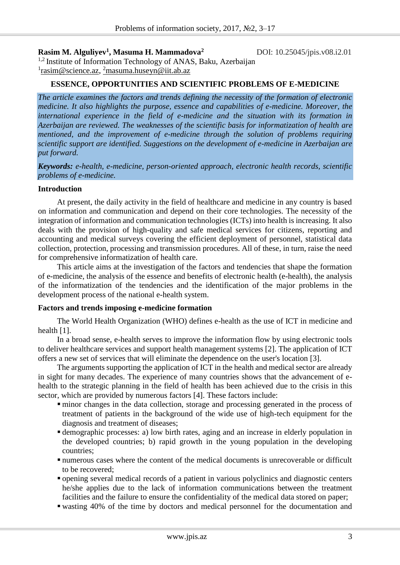### **Rasim M. Alguliyev<sup>1</sup>, Masuma H. Mammadova<sup>2</sup> DOI: 10.25045/jpis.v08.i2.01**

<sup>1,2</sup> Institute of Information Technology of ANAS, Baku, Azerbaijan <sup>1</sup>rasim@science.az, <sup>2</sup>[masuma.huseyn@iit.ab.az](mailto:2masuma.huseyn@iit.ab.az)

### **ESSENCE, OPPORTUNITIES AND SCIENTIFIC PROBLEMS OF E-MEDICINE**

*The article examines the factors and trends defining the necessity of the formation of electronic medicine. It also highlights the purpose, essence and capabilities of e-medicine. Moreover, the international experience in the field of e-medicine and the situation with its formation in Azerbaijan are reviewed. The weaknesses of the scientific basis for informatization of health are mentioned, and the improvement of e-medicine through the solution of problems requiring scientific support are identified. Suggestions on the development of e-medicine in Azerbaijan are put forward.*

*Keywords: e-health, e-medicine, person-oriented approach, electronic health records, scientific problems of e-medicine.*

### **Introduction**

At present, the daily activity in the field of healthcare and medicine in any country is based on information and communication and depend on their core technologies. The necessity of the integration of information and communication technologies (ICTs) into health is increasing. It also deals with the provision of high-quality and safe medical services for citizens, reporting and accounting and medical surveys covering the efficient deployment of personnel, statistical data collection, protection, processing and transmission procedures. All of these, in turn, raise the need for comprehensive informatization of health care.

This article aims at the investigation of the factors and tendencies that shape the formation of e-medicine, the analysis of the essence and benefits of electronic health (e-health), the analysis of the informatization of the tendencies and the identification of the major problems in the development process of the national e-health system.

### **Factors and trends imposing e-medicine formation**

The World Health Organization (WHO) defines e-health as the use of ICT in medicine and health [1].

In a broad sense, e-health serves to improve the information flow by using electronic tools to deliver healthcare services and support health management systems [2]. The application of ICT offers a new set of services that will eliminate the dependence on the user's location [3].

The arguments supporting the application of ICT in the health and medical sector are already in sight for many decades. The experience of many countries shows that the advancement of ehealth to the strategic planning in the field of health has been achieved due to the crisis in this sector, which are provided by numerous factors [4]. These factors include:

- minor changes in the data collection, storage and processing generated in the process of treatment of patients in the background of the wide use of high-tech equipment for the diagnosis and treatment of diseases;
- demographic processes: a) low birth rates, aging and an increase in elderly population in the developed countries; b) rapid growth in the young population in the developing countries;
- numerous cases where the content of the medical documents is unrecoverable or difficult to be recovered;
- opening several medical records of a patient in various polyclinics and diagnostic centers he/she applies due to the lack of information communications between the treatment facilities and the failure to ensure the confidentiality of the medical data stored on paper;
- wasting 40% of the time by doctors and medical personnel for the documentation and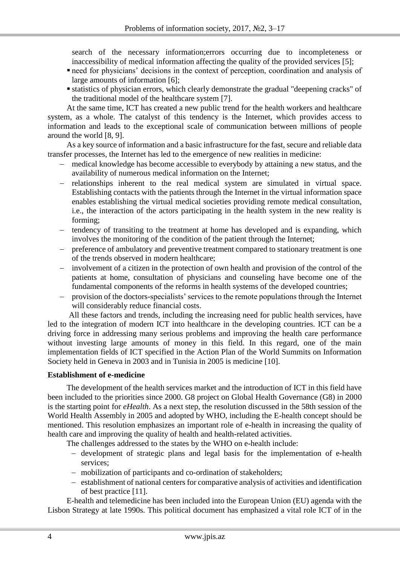search of the necessary information;errors occurring due to incompleteness or inaccessibility of medical information affecting the quality of the provided services [5];

- need for physicians' decisions in the context of perception, coordination and analysis of large amounts of information [6]:
- statistics of physician errors, which clearly demonstrate the gradual "deepening cracks" of the traditional model of the healthcare system [7].

At the same time, ICT has created a new public trend for the health workers and healthcare system, as a whole. The catalyst of this tendency is the Internet, which provides access to information and leads to the exceptional scale of communication between millions of people around the world [8, 9].

As a key source of information and a basic infrastructure for the fast, secure and reliable data transfer processes, the Internet has led to the emergence of new realities in medicine:

- medical knowledge has become accessible to everybody by attaining a new status, and the availability of numerous medical information on the Internet;
- relationships inherent to the real medical system are simulated in virtual space. Establishing contacts with the patients through the Internet in the virtual information space enables establishing the virtual medical societies providing remote medical consultation, i.e., the interaction of the actors participating in the health system in the new reality is forming;
- tendency of transiting to the treatment at home has developed and is expanding, which involves the monitoring of the condition of the patient through the Internet;
- preference of ambulatory and preventive treatment compared to stationary treatment is one of the trends observed in modern healthcare;
- involvement of a citizen in the protection of own health and provision of the control of the patients at home, consultation of physicians and counseling have become one of the fundamental components of the reforms in health systems of the developed countries;
- provision of the doctors-specialists' services to the remote populations through the Internet will considerably reduce financial costs.

All these factors and trends, including the increasing need for public health services, have led to the integration of modern ICT into healthcare in the developing countries. ICT can be a driving force in addressing many serious problems and improving the health care performance without investing large amounts of money in this field. In this regard, one of the main implementation fields of ICT specified in the Action Plan of the World Summits on Information Society held in Geneva in 2003 and in Tunisia in 2005 is medicine [10].

### **Establishment of e-medicine**

The development of the health services market and the introduction of ICT in this field have been included to the priorities since 2000. G8 project on Global Health Governance (G8) in 2000 is the starting point for *eHealth*. As a next step, the resolution discussed in the 58th session of the World Health Assembly in 2005 and adopted by WHO, including the E-health concept should be mentioned. This resolution emphasizes an important role of e-health in increasing the quality of health care and improving the quality of health and health-related activities.

The challenges addressed to the states by the WHO on e-health include:

- development of strategic plans and legal basis for the implementation of e-health services;
- mobilization of participants and co-ordination of stakeholders;
- establishment of national centers for comparative analysis of activities and identification of best practice [11].

E-health and telemedicine has been included into the European Union (EU) agenda with the Lisbon Strategy at late 1990s. This political document has emphasized a vital role ICT of in the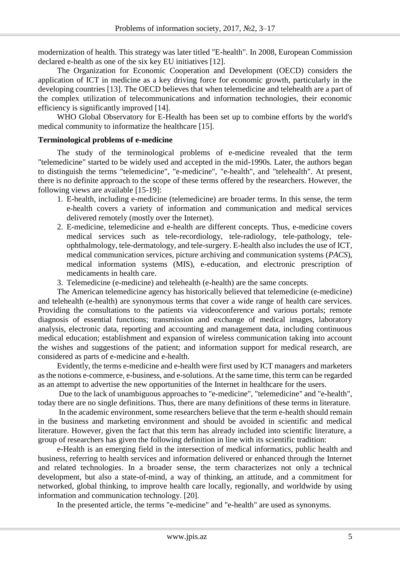modernization of health. This strategy was later titled "E-health". In 2008, European Commission declared e-health as one of the six key EU initiatives [12].

The Organization for Economic Cooperation and Development (OECD) considers the application of ICT in medicine as a key driving force for economic growth, particularly in the developing countries [13]. The OECD believes that when telemedicine and telehealth are a part of the complex utilization of telecommunications and information technologies, their economic efficiency is significantly improved [14].

WHO Global Observatory for E-Health has been set up to combine efforts by the world's medical community to informatize the healthcare [15].

### **Terminological problems of e-medicine**

The study of the terminological problems of e-medicine revealed that the term "telemedicine" started to be widely used and accepted in the mid-1990s. Later, the authors began to distinguish the terms "telemedicine", "e-medicine", "e-health", and "telehealth". At present, there is no definite approach to the scope of these terms offered by the researchers. However, the following views are available [15-19]:

- 1. E-health, including e-medicine (telemedicine) are broader terms. In this sense, the term e-health covers a variety of information and communication and medical services delivered remotely (mostly over the Internet).
- 2. E-medicine, telemedicine and e-health are different concepts. Thus, e-medicine covers medical services such as tele-recordiology, tele-radiology, tele-pathology, teleophthalmology, tele-dermatology, and tele-surgery. E-health also includes the use of ICT, medical communication services, picture archiving and communication systems (*PACS*), medical information systems (MIS), e-education, and electronic prescription of medicaments in health care.
- 3. Telemedicine (e-medicine) and telehealth (e-health) are the same concepts.

The American telemedicine agency has historically believed that telemedicine (e-medicine) and telehealth (e-health) are synonymous terms that cover a wide range of health care services. Providing the consultations to the patients via videoconference and various portals; remote diagnosis of essential functions; transmission and exchange of medical images, laboratory analysis, electronic data, reporting and accounting and management data, including continuous medical education; establishment and expansion of wireless communication taking into account the wishes and suggestions of the patient; and information support for medical research, are considered as parts of e-medicine and e-health.

Evidently, the terms e-medicine and e-health were first used by ICT managers and marketers as the notions e-commerce, e-business, and e-solutions. At the same time, this term can be regarded as an attempt to advertise the new opportunities of the Internet in healthcare for the users.

Due to the lack of unambiguous approaches to "e-medicine", "telemedicine" and "e-health", today there are no single definitions. Thus, there are many definitions of these terms in literature.

In the academic environment, some researchers believe that the term e-health should remain in the business and marketing environment and should be avoided in scientific and medical literature. However, given the fact that this term has already included into scientific literature, a group of researchers has given the following definition in line with its scientific tradition:

e-Health is an emerging field in the intersection of medical informatics, public health and business, referring to health services and information delivered or enhanced through the Internet and related technologies. In a broader sense, the term characterizes not only a technical development, but also a state-of-mind, a way of thinking, an attitude, and a commitment for networked, global thinking, to improve health care locally, regionally, and worldwide by using information and communication technology. [20].

In the presented article, the terms "e-medicine" and "e-health" are used as synonyms.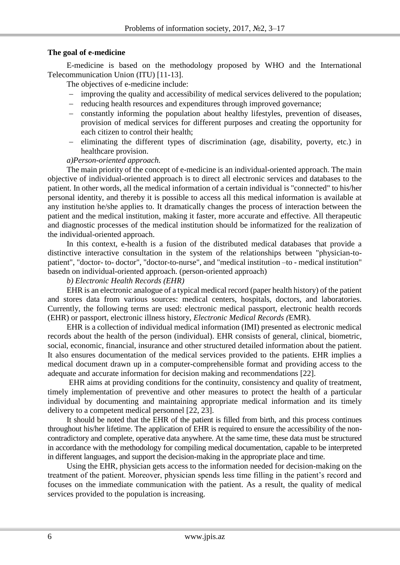## **The goal of e-medicine**

E-medicine is based on the methodology proposed by WHO and the International Telecommunication Union (ITU) [11-13].

The objectives of e-medicine include:

- improving the quality and accessibility of medical services delivered to the population;
- reducing health resources and expenditures through improved governance;
- constantly informing the population about healthy lifestyles, prevention of diseases, provision of medical services for different purposes and creating the opportunity for each citizen to control their health;
- eliminating the different types of discrimination (age, disability, poverty, etc.) in healthcare provision.

## *a)Person-oriented approach.*

The main priority of the concept of e-medicine is an individual-oriented approach. The main objective of individual-oriented approach is to direct all electronic services and databases to the patient. In other words, all the medical information of a certain individual is "connected" to his/her personal identity, and thereby it is possible to access all this medical information is available at any institution he/she applies to. It dramatically changes the process of interaction between the patient and the medical institution, making it faster, more accurate and effective. All therapeutic and diagnostic processes of the medical institution should be informatized for the realization of the individual-oriented approach.

In this context, e-health is a fusion of the distributed medical databases that provide a distinctive interactive consultation in the system of the relationships between "physician-topatient", "doctor- to- doctor", "doctor-to-nurse", and "medical institution –to - medical institution" basedn on individual-oriented approach. (person-oriented approach)

### *b) Electronic Health Records (EHR)*

EHR is an electronic analogue of a typical medical record (paper health history) of the patient and stores data from various sources: medical centers, hospitals, doctors, and laboratories. Currently, the following terms are used: electronic medical passport, electronic health records (EHR) or passport, electronic illness history, *Electronic Medical Records (*EMR).

EHR is a collection of individual medical information (IMI) presented as electronic medical records about the health of the person (individual). EHR consists of general, clinical, biometric, social, economic, financial, insurance and other structured detailed information about the patient. It also ensures documentation of the medical services provided to the patients. EHR implies a medical document drawn up in a computer-comprehensible format and providing access to the adequate and accurate information for decision making and recommendations [22].

EHR aims at providing conditions for the continuity, consistency and quality of treatment, timely implementation of preventive and other measures to protect the health of a particular individual by documenting and maintaining appropriate medical information and its timely delivery to a competent medical personnel [22, 23].

It should be noted that the EHR of the patient is filled from birth, and this process continues throughout his/her lifetime. The application of EHR is required to ensure the accessibility of the noncontradictory and complete, operative data anywhere. At the same time, these data must be structured in accordance with the methodology for compiling medical documentation, capable to be interpreted in different languages, and support the decision-making in the appropriate place and time.

Using the EHR, physician gets access to the information needed for decision-making on the treatment of the patient. Moreover, physician spends less time filling in the patient's record and focuses on the immediate communication with the patient. As a result, the quality of medical services provided to the population is increasing.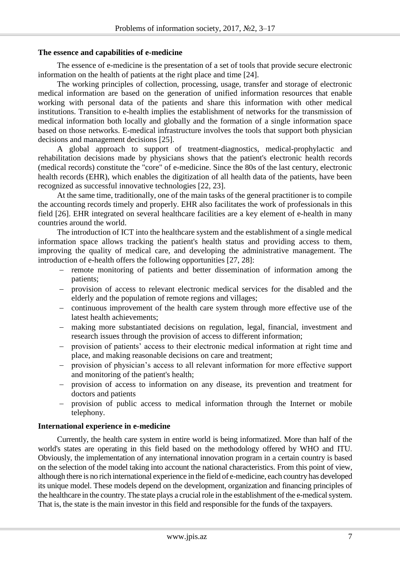#### **The essence and capabilities of e-medicine**

The essence of e-medicine is the presentation of a set of tools that provide secure electronic information on the health of patients at the right place and time [24].

The working principles of collection, processing, usage, transfer and storage of electronic medical information are based on the generation of unified information resources that enable working with personal data of the patients and share this information with other medical institutions. Transition to e-health implies the establishment of networks for the transmission of medical information both locally and globally and the formation of a single information space based on those networks. E-medical infrastructure involves the tools that support both physician decisions and management decisions [25].

A global approach to support of treatment-diagnostics, medical-prophylactic and rehabilitation decisions made by physicians shows that the patient's electronic health records (medical records) constitute the "core" of e-medicine. Since the 80s of the last century, electronic health records (EHR), which enables the digitization of all health data of the patients, have been recognized as successful innovative technologies [22, 23].

At the same time, traditionally, one of the main tasks of the general practitioner is to compile the accounting records timely and properly. EHR also facilitates the work of professionals in this field [26]. EHR integrated on several healthcare facilities are a key element of e-health in many countries around the world.

The introduction of ICT into the healthcare system and the establishment of a single medical information space allows tracking the patient's health status and providing access to them, improving the quality of medical care, and developing the administrative management. The introduction of e-health offers the following opportunities [27, 28]:

- remote monitoring of patients and better dissemination of information among the patients;
- provision of access to relevant electronic medical services for the disabled and the elderly and the population of remote regions and villages;
- continuous improvement of the health care system through more effective use of the latest health achievements;
- making more substantiated decisions on regulation, legal, financial, investment and research issues through the provision of access to different information;
- provision of patients' access to their electronic medical information at right time and place, and making reasonable decisions on care and treatment;
- provision of physician's access to all relevant information for more effective support and monitoring of the patient's health;
- provision of access to information on any disease, its prevention and treatment for doctors and patients
- provision of public access to medical information through the Internet or mobile telephony.

### **International experience in e-medicine**

Currently, the health care system in entire world is being informatized. More than half of the world's states are operating in this field based on the methodology offered by WHO and ITU. Obviously, the implementation of any international innovation program in a certain country is based on the selection of the model taking into account the national characteristics. From this point of view, although there is no rich international experience in the field of e-medicine, each country has developed its unique model. These models depend on the development, organization and financing principles of the healthcare in the country. The state plays a crucial role in the establishment of the e-medical system. That is, the state is the main investor in this field and responsible for the funds of the taxpayers.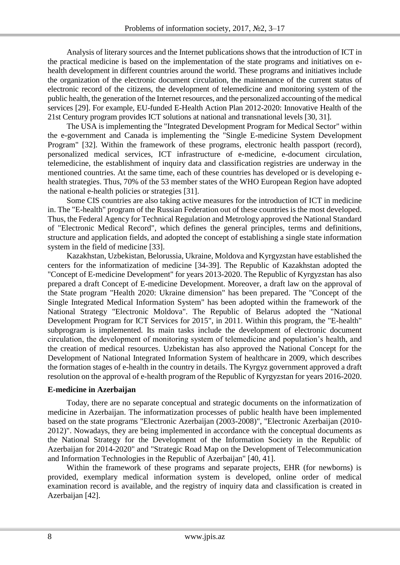Analysis of literary sources and the Internet publications shows that the introduction of ICT in the practical medicine is based on the implementation of the state programs and initiatives on ehealth development in different countries around the world. These programs and initiatives include the organization of the electronic document circulation, the maintenance of the current status of electronic record of the citizens, the development of telemedicine and monitoring system of the public health, the generation of the Internet resources, and the personalized accounting of the medical services [29]. For example, EU-funded E-Health Action Plan 2012-2020: Innovative Health of the 21st Century program provides ICT solutions at national and transnational levels [30, 31].

The USA is implementing the "Integrated Development Program for Medical Sector" within the e-government and Canada is implementing the "Single E-medicine System Development Program" [32]. Within the framework of these programs, electronic health passport (record), personalized medical services, ICT infrastructure of e-medicine, e-document circulation, telemedicine, the establishment of inquiry data and classification registries are underway in the mentioned countries. At the same time, each of these countries has developed or is developing ehealth strategies. Thus, 70% of the 53 member states of the WHO European Region have adopted the national e-health policies or strategies [31].

Some CIS countries are also taking active measures for the introduction of ICT in medicine in. The "E-health" program of the Russian Federation out of these countries is the most developed. Thus, the Federal Agency for Technical Regulation and Metrology approved the National Standard of "Electronic Medical Record", which defines the general principles, terms and definitions, structure and application fields, and adopted the concept of establishing a single state information system in the field of medicine [33].

Kazakhstan, Uzbekistan, Belorussia, Ukraine, Moldova and Kyrgyzstan have established the centers for the informatization of medicine [34-39]. The Republic of Kazakhstan adopted the "Concept of E-medicine Development" for years 2013-2020. The Republic of Kyrgyzstan has also prepared a draft Concept of E-medicine Development. Moreover, a draft law on the approval of the State program "Health 2020: Ukraine dimension" has been prepared. The "Concept of the Single Integrated Medical Information System" has been adopted within the framework of the National Strategy "Electronic Moldova". The Republic of Belarus adopted the "National Development Program for ICT Services for 2015", in 2011. Within this program, the "E-health" subprogram is implemented. Its main tasks include the development of electronic document circulation, the development of monitoring system of telemedicine and population's health, and the creation of medical resources. Uzbekistan has also approved the National Concept for the Development of National Integrated Information System of healthcare in 2009, which describes the formation stages of e-health in the country in details. The Kyrgyz government approved a draft resolution on the approval of e-health program of the Republic of Kyrgyzstan for years 2016-2020.

### **E-medicine in Azerbaijan**

Today, there are no separate conceptual and strategic documents on the informatization of medicine in Azerbaijan. The informatization processes of public health have been implemented based on the state programs "Electronic Azerbaijan (2003-2008)", "Electronic Azerbaijan (2010- 2012)". Nowadays, they are being implemented in accordance with the conceptual documents as the National Strategy for the Development of the Information Society in the Republic of Azerbaijan for 2014-2020" and "Strategic Road Map on the Development of Telecommunication and Information Technologies in the Republic of Azerbaijan" [40, 41].

Within the framework of these programs and separate projects, EHR (for newborns) is provided, exemplary medical information system is developed, online order of medical examination record is available, and the registry of inquiry data and classification is created in Azerbaijan [42].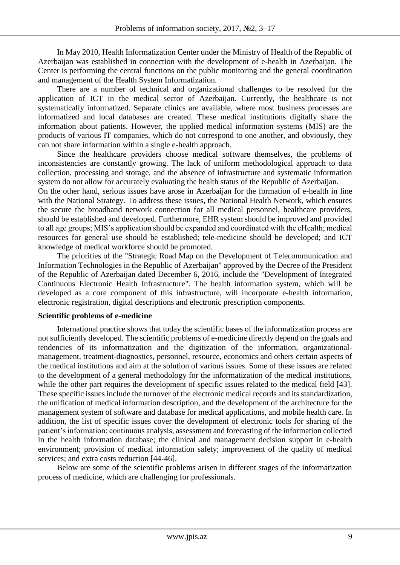In May 2010, Health Informatization Center under the Ministry of Health of the Republic of Azerbaijan was established in connection with the development of e-health in Azerbaijan. The Center is performing the central functions on the public monitoring and the general coordination and management of the Health System Informatization.

There are a number of technical and organizational challenges to be resolved for the application of ICT in the medical sector of Azerbaijan. Currently, the healthcare is not systematically informatized. Separate clinics are available, where most business processes are informatized and local databases are created. These medical institutions digitally share the information about patients. However, the applied medical information systems (MIS) are the products of various IT companies, which do not correspond to one another, and obviously, they can not share information within a single e-health approach.

Since the healthcare providers choose medical software themselves, the problems of inconsistencies are constantly growing. The lack of uniform methodological approach to data collection, processing and storage, and the absence of infrastructure and systematic information system do not allow for accurately evaluating the health status of the Republic of Azerbaijan.

On the other hand, serious issues have arose in Azerbaijan for the formation of e-health in line with the National Strategy. To address these issues, the National Health Network, which ensures the secure the broadband network connection for all medical personnel, healthcare providers, should be established and developed. Furthermore, EHR system should be improved and provided to all age groups; MIS's application should be expanded and coordinated with the eHealth; medical resources for general use should be established; tele-medicine should be developed; and ICT knowledge of medical workforce should be promoted.

The priorities of the "Strategic Road Map on the Development of Telecommunication and Information Technologies in the Republic of Azerbaijan" approved by the Decree of the President of the Republic of Azerbaijan dated December 6, 2016, include the "Development of Integrated Continuous Electronic Health Infrastructure". The health information system, which will be developed as a core component of this infrastructure, will incorporate e-health information, electronic registration, digital descriptions and electronic prescription components.

### **Scientific problems of e-medicine**

International practice shows that today the scientific bases of the informatization process are not sufficiently developed. The scientific problems of e-medicine directly depend on the goals and tendencies of its informatization and the digitization of the information, organizationalmanagement, treatment-diagnostics, personnel, resource, economics and others certain aspects of the medical institutions and aim at the solution of various issues. Some of these issues are related to the development of a general methodology for the informatization of the medical institutions, while the other part requires the development of specific issues related to the medical field [43]. These specific issues include the turnover of the electronic medical records and its standardization, the unification of medical information description, and the development of the architecture for the management system of software and database for medical applications, and mobile health care. In addition, the list of specific issues cover the development of electronic tools for sharing of the patient's information; continuous analysis, assessment and forecasting of the information collected in the health information database; the clinical and management decision support in e-health environment; provision of medical information safety; improvement of the quality of medical services; and extra costs reduction [44-46].

Below are some of the scientific problems arisen in different stages of the informatization process of medicine, which are challenging for professionals.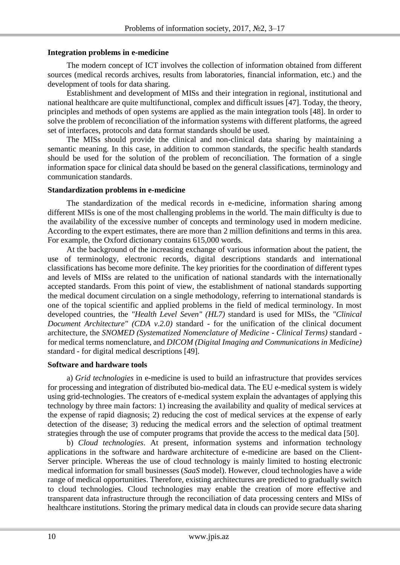### **Integration problems in e-medicine**

The modern concept of ICT involves the collection of information obtained from different sources (medical records archives, results from laboratories, financial information, etc.) and the development of tools for data sharing.

Establishment and development of MISs and their integration in regional, institutional and national healthcare are quite multifunctional, complex and difficult issues [47]. Today, the theory, principles and methods of open systems are applied as the main integration tools [48]. In order to solve the problem of reconciliation of the information systems with different platforms, the agreed set of interfaces, protocols and data format standards should be used.

The MISs should provide the clinical and non-clinical data sharing by maintaining a semantic meaning. In this case, in addition to common standards, the specific health standards should be used for the solution of the problem of reconciliation. The formation of a single information space for clinical data should be based on the general classifications, terminology and communication standards.

#### **Standardization problems in e-medicine**

The standardization of the medical records in e-medicine, information sharing among different MISs is one of the most challenging problems in the world. The main difficulty is due to the availability of the excessive number of concepts and terminology used in modern medicine. According to the expert estimates, there are more than 2 million definitions and terms in this area. For example, the Oxford dictionary contains 615,000 words.

At the background of the increasing exchange of various information about the patient, the use of terminology, electronic records, digital descriptions standards and international classifications has become more definite. The key priorities for the coordination of different types and levels of MISs are related to the unification of national standards with the internationally accepted standards. From this point of view, the establishment of national standards supporting the medical document circulation on a single methodology, referring to international standards is one of the topical scientific and applied problems in the field of medical terminology. In most developed countries, the *"Health Level Seven" (HL7)* standard is used for MISs, the *"Clinical Document Architecture" (CDA v.2.0)* standard - for the unification of the clinical document architecture, the *SNOMED (Systematized Nomenclature of Medicine - Clinical Terms)* standard for medical terms nomenclature, and *DICOM (Digital Imaging and Communications in Medicine)* standard - for digital medical descriptions [49].

### **Software and hardware tools**

a) *Grid technologies* in e-medicine is used to build an infrastructure that provides services for processing and integration of distributed bio-medical data. The EU e-medical system is widely using grid-technologies. The creators of e-medical system explain the advantages of applying this technology by three main factors: 1) increasing the availability and quality of medical services at the expense of rapid diagnosis; 2) reducing the cost of medical services at the expense of early detection of the disease; 3) reducing the medical errors and the selection of optimal treatment strategies through the use of computer programs that provide the access to the medical data [50].

b) *Cloud technologies*. At present, information systems and information technology applications in the software and hardware architecture of e-medicine are based on the Client-Server principle. Whereas the use of cloud technology is mainly limited to hosting electronic medical information for small businesses (*SaaS* model). However, cloud technologies have a wide range of medical opportunities. Therefore, existing architectures are predicted to gradually switch to cloud technologies. Cloud technologies may enable the creation of more effective and transparent data infrastructure through the reconciliation of data processing centers and MISs of healthcare institutions. Storing the primary medical data in clouds can provide secure data sharing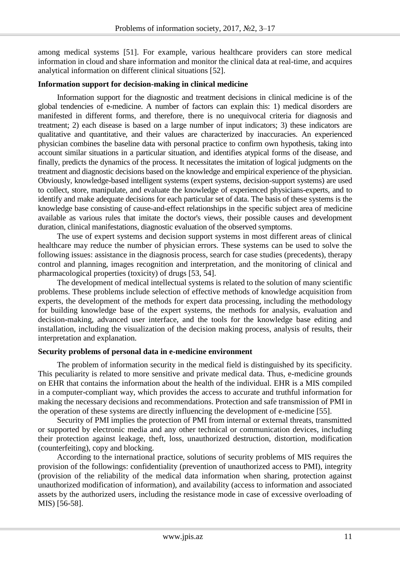among medical systems [51]. For example, various healthcare providers can store medical information in cloud and share information and monitor the clinical data at real-time, and acquires analytical information on different clinical situations [52].

#### **Information support for decision-making in clinical medicine**

Information support for the diagnostic and treatment decisions in clinical medicine is of the global tendencies of e-medicine. A number of factors can explain this: 1) medical disorders are manifested in different forms, and therefore, there is no unequivocal criteria for diagnosis and treatment; 2) each disease is based on a large number of input indicators; 3) these indicators are qualitative and quantitative, and their values are characterized by inaccuracies. An experienced physician combines the baseline data with personal practice to confirm own hypothesis, taking into account similar situations in a particular situation, and identifies atypical forms of the disease, and finally, predicts the dynamics of the process. It necessitates the imitation of logical judgments on the treatment and diagnostic decisions based on the knowledge and empirical experience of the physician. Obviously, knowledge-based intelligent systems (expert systems, decision-support systems) are used to collect, store, manipulate, and evaluate the knowledge of experienced physicians-experts, and to identify and make adequate decisions for each particular set of data. The basis of these systems is the knowledge base consisting of cause-and-effect relationships in the specific subject area of medicine available as various rules that imitate the doctor's views, their possible causes and development duration, clinical manifestations, diagnostic evaluation of the observed symptoms.

The use of expert systems and decision support systems in most different areas of clinical healthcare may reduce the number of physician errors. These systems can be used to solve the following issues: assistance in the diagnosis process, search for case studies (precedents), therapy control and planning, images recognition and interpretation, and the monitoring of clinical and pharmacological properties (toxicity) of drugs [53, 54].

The development of medical intellectual systems is related to the solution of many scientific problems. These problems include selection of effective methods of knowledge acquisition from experts, the development of the methods for expert data processing, including the methodology for building knowledge base of the expert systems, the methods for analysis, evaluation and decision-making, advanced user interface, and the tools for the knowledge base editing and installation, including the visualization of the decision making process, analysis of results, their interpretation and explanation.

### **Security problems of personal data in e-medicine environment**

The problem of information security in the medical field is distinguished by its specificity. This peculiarity is related to more sensitive and private medical data. Thus, e-medicine grounds on EHR that contains the information about the health of the individual. EHR is a MIS compiled in a computer-compliant way, which provides the access to accurate and truthful information for making the necessary decisions and recommendations. Protection and safe transmission of PMI in the operation of these systems are directly influencing the development of e-medicine [55].

Security of PMI implies the protection of PMI from internal or external threats, transmitted or supported by electronic media and any other technical or communication devices, including their protection against leakage, theft, loss, unauthorized destruction, distortion, modification (counterfeiting), copy and blocking.

According to the international practice, solutions of security problems of MIS requires the provision of the followings: confidentiality (prevention of unauthorized access to PMI), integrity (provision of the reliability of the medical data information when sharing, protection against unauthorized modification of information), and availability (access to information and associated assets by the authorized users, including the resistance mode in case of excessive overloading of MIS) [56-58].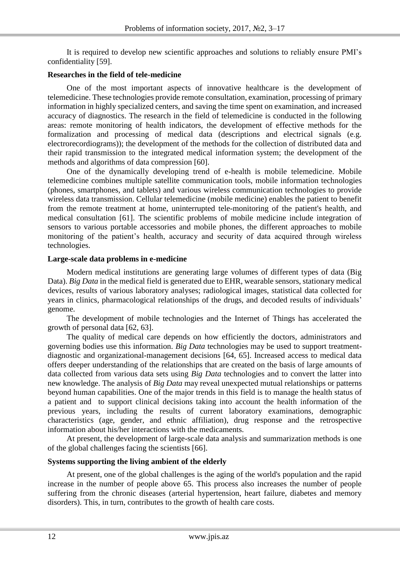It is required to develop new scientific approaches and solutions to reliably ensure PMI's confidentiality [59].

### **Researches in the field of tele-medicine**

One of the most important aspects of innovative healthcare is the development of telemedicine. These technologies provide remote consultation, examination, processing of primary information in highly specialized centers, and saving the time spent on examination, and increased accuracy of diagnostics. The research in the field of telemedicine is conducted in the following areas: remote monitoring of health indicators, the development of effective methods for the formalization and processing of medical data (descriptions and electrical signals (e.g. electrorecordiograms)); the development of the methods for the collection of distributed data and their rapid transmission to the integrated medical information system; the development of the methods and algorithms of data compression [60].

One of the dynamically developing trend of e-health is mobile telemedicine. Mobile telemedicine combines multiple satellite communication tools, mobile information technologies (phones, smartphones, and tablets) and various wireless communication technologies to provide wireless data transmission. Cellular telemedicine (mobile medicine) enables the patient to benefit from the remote treatment at home, uninterrupted tele-monitoring of the patient's health, and medical consultation [61]. The scientific problems of mobile medicine include integration of sensors to various portable accessories and mobile phones, the different approaches to mobile monitoring of the patient's health, accuracy and security of data acquired through wireless technologies.

### **Large-scale data problems in e-medicine**

Modern medical institutions are generating large volumes of different types of data (Big Data). *Big Data* in the medical field is generated due to EHR, wearable sensors, stationary medical devices, results of various laboratory analyses; radiological images, statistical data collected for years in clinics, pharmacological relationships of the drugs, and decoded results of individuals' genome.

The development of mobile technologies and the Internet of Things has accelerated the growth of personal data [62, 63].

The quality of medical care depends on how efficiently the doctors, administrators and governing bodies use this information. *Big Data* technologies may be used to support treatmentdiagnostic and organizational-management decisions [64, 65]. Increased access to medical data offers deeper understanding of the relationships that are created on the basis of large amounts of data collected from various data sets using *Big Data* technologies and to convert the latter into new knowledge. The analysis of *Big Data* may reveal unexpected mutual relationships or patterns beyond human capabilities. One of the major trends in this field is to manage the health status of a patient and to support clinical decisions taking into account the health information of the previous years, including the results of current laboratory examinations, demographic characteristics (age, gender, and ethnic affiliation), drug response and the retrospective information about his/her interactions with the medicaments.

At present, the development of large-scale data analysis and summarization methods is one of the global challenges facing the scientists [66].

### **Systems supporting the living ambient of the elderly**

At present, one of the global challenges is the aging of the world's population and the rapid increase in the number of people above 65. This process also increases the number of people suffering from the chronic diseases (arterial hypertension, heart failure, diabetes and memory disorders). This, in turn, contributes to the growth of health care costs.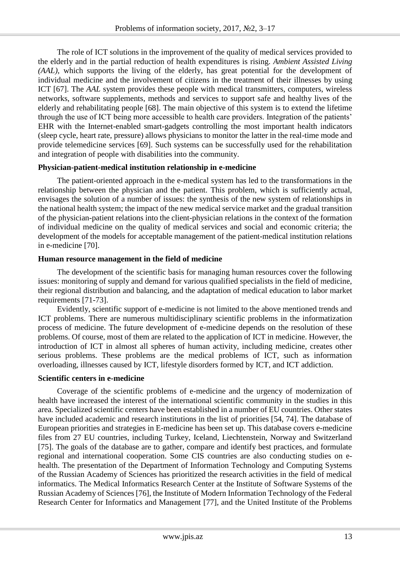The role of ICT solutions in the improvement of the quality of medical services provided to the elderly and in the partial reduction of health expenditures is rising. *Ambient Assisted Living (AAL),* which supports the living of the elderly, has great potential for the development of individual medicine and the involvement of citizens in the treatment of their illnesses by using ICT [67]. The *AAL* system provides these people with medical transmitters, computers, wireless networks, software supplements, methods and services to support safe and healthy lives of the elderly and rehabilitating people [68]. The main objective of this system is to extend the lifetime through the use of ICT being more accessible to health care providers. Integration of the patients' EHR with the Internet-enabled smart-gadgets controlling the most important health indicators (sleep cycle, heart rate, pressure) allows physicians to monitor the latter in the real-time mode and provide telemedicine services [69]. Such systems can be successfully used for the rehabilitation and integration of people with disabilities into the community.

### **Physician-patient-medical institution relationship in e-medicine**

The patient-oriented approach in the e-medical system has led to the transformations in the relationship between the physician and the patient. This problem, which is sufficiently actual, envisages the solution of a number of issues: the synthesis of the new system of relationships in the national health system; the impact of the new medical service market and the gradual transition of the physician-patient relations into the client-physician relations in the context of the formation of individual medicine on the quality of medical services and social and economic criteria; the development of the models for acceptable management of the patient-medical institution relations in e-medicine [70].

## **Human resource management in the field of medicine**

The development of the scientific basis for managing human resources cover the following issues: monitoring of supply and demand for various qualified specialists in the field of medicine, their regional distribution and balancing, and the adaptation of medical education to labor market requirements [71-73].

Evidently, scientific support of e-medicine is not limited to the above mentioned trends and ICT problems. There are numerous multidisciplinary scientific problems in the informatization process of medicine. The future development of e-medicine depends on the resolution of these problems. Of course, most of them are related to the application of ICT in medicine. However, the introduction of ICT in almost all spheres of human activity, including medicine, creates other serious problems. These problems are the medical problems of ICT, such as information overloading, illnesses caused by ICT, lifestyle disorders formed by ICT, and ICT addiction.

# **Scientific centers in e-medicine**

Coverage of the scientific problems of e-medicine and the urgency of modernization of health have increased the interest of the international scientific community in the studies in this area. Specialized scientific centers have been established in a number of EU countries. Other states have included academic and research institutions in the list of priorities [54, 74]. The database of European priorities and strategies in E-medicine has been set up. This database covers e-medicine files from 27 EU countries, including Turkey, Iceland, Liechtenstein, Norway and Switzerland [75]. The goals of the database are to gather, compare and identify best practices, and formulate regional and international cooperation. Some CIS countries are also conducting studies on ehealth. The presentation of the Department of Information Technology and Computing Systems of the Russian Academy of Sciences has prioritized the research activities in the field of medical informatics. The Medical Informatics Research Center at the Institute of Software Systems of the Russian Academy of Sciences [76], the Institute of Modern Information Technology of the Federal Research Center for Informatics and Management [77], and the United Institute of the Problems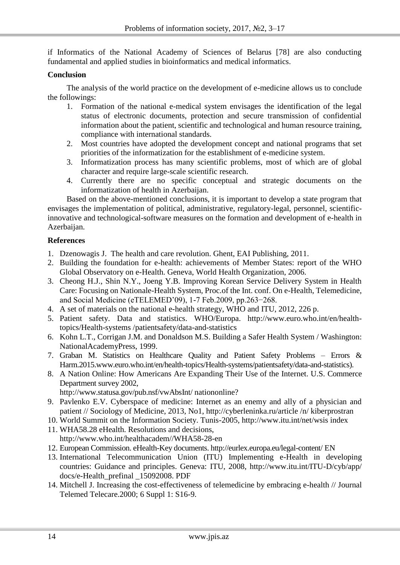if Informatics of the National Academy of Sciences of Belarus [78] are also conducting fundamental and applied studies in bioinformatics and medical informatics.

### **Conclusion**

The analysis of the world practice on the development of e-medicine allows us to conclude the followings:

- 1. Formation of the national e-medical system envisages the identification of the legal status of electronic documents, protection and secure transmission of confidential information about the patient, scientific and technological and human resource training, compliance with international standards.
- 2. Most countries have adopted the development concept and national programs that set priorities of the informatization for the establishment of e-medicine system.
- 3. Informatization process has many scientific problems, most of which are of global character and require large-scale scientific research.
- 4. Currently there are no specific conceptual and strategic documents on the informatization of health in Azerbaijan.

Based on the above-mentioned conclusions, it is important to develop a state program that envisages the implementation of political, administrative, regulatory-legal, personnel, scientificinnovative and technological-software measures on the formation and development of e-health in Azerbaijan.

## **References**

- 1. Dzenowagis J. The health and care revolution. Ghent, EAI Publishing, 2011.
- 2. Building the foundation for e-health: achievements of Member States: report of the WHO Global Observatory on e-Health. Geneva, World Health Organization, 2006.
- 3. Cheong H.J., Shin N.Y., Joeng Y.B. Improving Korean Service Delivery System in Health Care: Focusing on Nationale-Health System, Proc.of the Int. conf. On e-Health, Telemedicine, and Social Medicine (eTELEMED'09), 1-7 Feb.2009, pp.263−268.
- 4. A set of materials on the national e-health strategy, WHO and ITU, 2012, 226 p.
- 5. Patient safety. Data and statistics. WHO/Europa. http://www.euro.who.int/en/healthtopics/Health-systems /patientsafety/data-and-statistics
- 6. Kohn L.T., Corrigan J.M. and Donaldson M.S. Building a Safer Health System / Washington: NationalAcademyPress, 1999.
- 7. Graban M. Statistics on Healthcare Quality and Patient Safety Problems Errors & Harm.2015.www.euro.who.int/en/health-topics/Health-systems/patientsafety/data-and-statistics).
- 8. A Nation Online: How Americans Are Expanding Their Use of the Internet. U.S. Commerce Department survey 2002, http://www.statusa.gov/pub.nsf/vwAbsInt/ nationonline?
- 9. Pavlenko E.V. Cyberspace of medicine: Internet as an enemy and ally of a physician and
- patient // Sociology of Medicine, 2013, No1, http://cyberleninka.ru/article /n/ kiberprostran
- 10. World Summit on the Information Society. Tunis-2005, http://www.itu.int/net/wsis index
- 11. WHA58.28 eHealth. Resolutions and decisions, http://www.who.int/healthacadem//WHA58-28-en
- 12. European Commission. eHealth-Key documents. http://eurlex.europa.eu/legal-content/ EN
- 13. International Telecommunication Union (ITU) Implementing e-Health in developing countries: Guidance and principles. Geneva: ITU, 2008, http://www.itu.int/ITU-D/cyb/app/ docs/e-Health\_prefinal \_15092008. PDF
- 14. Mitchell J. Increasing the cost-effectiveness of telemedicine by embracing e-health // Journal Telemed Telecare.2000; 6 Suppl 1: S16-9.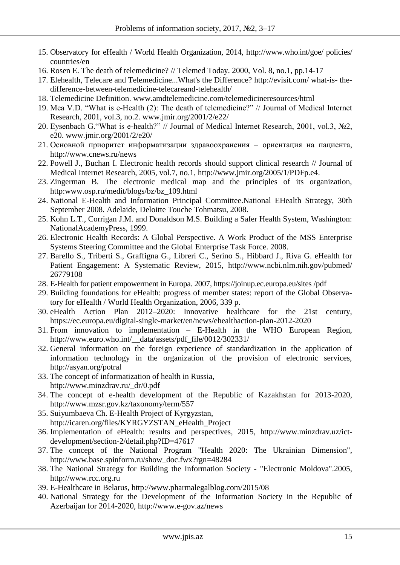- 15. Observatory for eHealth / World Health Organization, 2014, http://www.who.int/goe/ policies/ countries/en
- 16. Rosen E. The death of telemedicine? // Telemed Today. 2000, Vol. 8, no.1, pp.14-17
- 17. Elehealth, Telecare and Telemedicine...What's the Difference? http://evisit.com/ what-is- thedifference-between-telemedicine-telecareand-telehealth/
- 18. Telemedicine Definition. www.amdtelemedicine.com/telemedicineresources/html
- 19. Mea V.D. "What is e-Health (2): The death of telemedicine?" // Journal of Medical Internet Research, 2001, vol.3, no.2. www.jmir.org/2001/2/e22/
- 20. Eysenbach G."What is e-health?" // Journal of Medical Internet Research, 2001, vol.3, №2, e20. www.jmir.org/2001/2/e20/
- 21. Основной приоритет информатизации здравоохранения ориентация на пациента, http://www.cnews.ru/news
- 22. Powell J., Buchan I. Electronic health records should support clinical research // Journal of Medical Internet Research, 2005, vol.7, no.1, http://www.jmir.org/2005/1/PDFp.e4.
- 23. Zingerman B. The electronic medical map and the principles of its organization, http:www.osp.ru/medit/blogs/bz/bz\_109.html
- 24. National E-Health and Information Principal Committee.National EHealth Strategy, 30th September 2008. Adelaide, Deloitte Touche Tohmatsu, 2008.
- 25. Kohn L.T., Corrigan J.M. and Donaldson M.S. Building a Safer Health System, Washington: NationalAcademyPress, 1999.
- 26. Electronic Health Records: A Global Perspective. A Work Product of the MSS Enterprise Systems Steering Committee and the Global Enterprise Task Force. 2008.
- 27. Barello S., Triberti S., Graffigna G., Libreri C., Serino S., Hibbard J., Riva G. eHealth for Patient Engagement: A Systematic Review, 2015, http://www.ncbi.nlm.nih.gov/pubmed/ 26779108
- 28. E-Health for patient empowerment in Europa. 2007, https://joinup.ec.europa.eu/sites /pdf
- 29. Building foundations for eHealth: progress of member states: report of the Global Observatory for eHealth / World Health Organization, 2006, 339 p.
- 30. eHealth Action Plan 2012–2020: Innovative healthcare for the 21st century, https://ec.europa.eu/digital-single-market/en/news/ehealthaction-plan-2012-2020
- 31. From innovation to implementation E-Health in the WHO European Region, http://www.euro.who.int/\_\_data/assets/pdf\_file/0012/302331/
- 32. General information on the foreign experience of standardization in the application of information technology in the organization of the provision of electronic services, http://asyan.org/potral
- 33. The concept of informatization of health in Russia, http://www.minzdrav.ru/\_dr/0.pdf
- 34. The concept of e-health development of the Republic of Kazakhstan for 2013-2020, http://www.mzsr.gov.kz/taxonomy/term/557
- 35. Suiyumbaeva Ch. E-Health Project of Kyrgyzstan, http://icaren.org/files/KYRGYZSTAN\_eHealth\_Project
- 36. Implementation of eHealth: results and perspectives, 2015, http://www.minzdrav.uz/ictdevelopment/section-2/detail.php?ID=47617
- 37. The concept of the National Program "Health 2020: The Ukrainian Dimension", http://www.base.spinform.ru/show\_doc.fwx?rgn=48284
- 38. The National Strategy for Building the Information Society "Electronic Moldova".2005, http://www.rcc.org.ru
- 39. E-Healthcare in Belarus, http://www.pharmalegalblog.com/2015/08
- 40. National Strategy for the Development of the Information Society in the Republic of Azerbaijan for 2014-2020, http://www.e-gov.az/news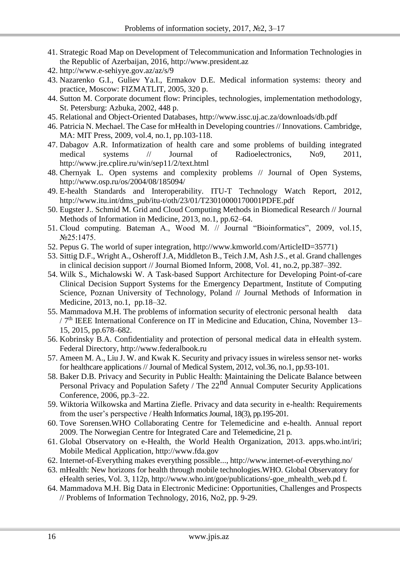- 41. Strategic Road Map on Development of Telecommunication and Information Technologies in the Republic of Azerbaijan, 2016, http://www.president.az
- 42. http://www.e-sehiyye.gov.az/az/s/9
- 43. Nazarenko G.I., Guliev Ya.I., Ermakov D.E. Medical information systems: theory and practice, Moscow: FIZMATLIT, 2005, 320 p.
- 44. Sutton M. Corporate document flow: Principles, technologies, implementation methodology, St. Petersburg: Azbuka, 2002, 448 p.
- 45. Relational and Object-Oriented Databases, http://www.issc.uj.ac.za/downloads/db.pdf
- 46. Patricia N. Mechael. The Case for mHealth in Developing countries // Innovations*.* Cambridge, MA: MIT Press, 2009, vol.4, no.1, pp.103-118.
- 47. Dabagov A.R. Informatization of health care and some problems of building integrated medical systems // Journal of Radioelectronics, No9, 2011, http://www.jre.cplire.ru/win/sep11/2/text.html
- 48. Chernyak L. Open systems and complexity problems // Journal of Open Systems, http://www.osp.ru/os/2004/08/185094/
- 49. E-health Standards and Interoperability. ITU-T Technology Watch Report, 2012, http://www.itu.int/dms\_pub/itu-t/oth/23/01/T23010000170001PDFE.pdf
- 50. Eugster J.. Schmid M. Grid and Cloud Computing Methods in Biomedical Research // Journal Methods of Information in Medicine, 2013, no.1, pp.62–64.
- 51. Cloud computing. Bateman A., Wood M. // Journal "Bioinformatics", 2009, vol.15, №25:1475.
- 52. Pepus G. The world of super integration, http://www.kmworld.com/ArticleID=35771)
- 53. Sittig D.F., Wright A., Osheroff J.A, Middleton B., Teich J.M, Ash J.S., et al. Grand challenges in clinical decision support // Journal Biomed Inform, 2008, Vol. 41, no.2, pp.387–392.
- 54. Wilk S., Michalowski W. A Task-based Support Architecture for Developing Point-of-care Clinical Decision Support Systems for the Emergency Department, Institute of Computing Science, Poznan University of Technology, Poland // Journal Methods of Information in Medicine, 2013, no.1, pp.18–32.
- 55. Mammadova M.H. The problems of information security of electronic personal health data / 7<sup>th</sup> IEEE International Conference on IT in Medicine and Education, China, November 13– 15, 2015, pp.678–682.
- 56. Kobrinsky B.A. Confidentiality and protection of personal medical data in eHealth system. Federal Directory, http://www.federalbook.ru
- 57. Ameen M. A., Liu J. W. and Kwak K. Security and privacy issues in wireless sensor net- works for healthcare applications // Journal of Medical System, 2012, vol.36, no.1, pp.93-101.
- 58. Baker D.B. Privacy and Security in Public Health: Maintaining the Delicate Balance between Personal Privacy and Population Safety / The 22<sup>nd</sup> Annual Computer Security Applications Conference, 2006, pp.3–22.
- 59. Wiktoria Wilkowska and Martina Ziefle. Privacy and data security in e-health: Requirements from the user's perspective / Health Informatics Journal, 18(3), pp.195-201.
- 60. Tove Sorensen.WHO Collaborating Centre for Telemedicine and e-health. Annual report 2009. The Norwegian Centre for Integrated Care and Telemedicine, 21 p.
- 61. Global Observatory on e-Health, the World Health Organization, 2013. apps.who.int/iri; Mobile Medical Application, http://www.fda.gov
- 62. Internet-of-Everything makes everything possible...,<http://www.internet-of-everything.no/>
- 63. [mHealth: New horizons for health through mobile technologies.](https://www.google.ru/url?sa=t&rct=j&q&esrc=s&source=web&cd=1&ved=0ahUKEwjk5MLD5eTJAhVEUBQKHXCZCj8QFggbMAA&url=http%3A%2F%2Fwww.who.int%2Fgoe%2Fpublications%2Fgoe_mhealth_web.pdf&usg=AFQjCNHzOy2pNEKJqj2uz9kJFFLOgRmLfg&bvm=bv.110151844%2Cd.bGg)WHO. Global Observatory for eHealth series, Vol. 3, 112p, http://www.who.int/goe/publications/-goe\_mhealth\_web.pd f.
- 64. Mammadova M.H. Big Data in Electronic Medicine: Opportunities, Challenges and Prospects // Problems of Information Technology, 2016, No2, pp. 9-29.